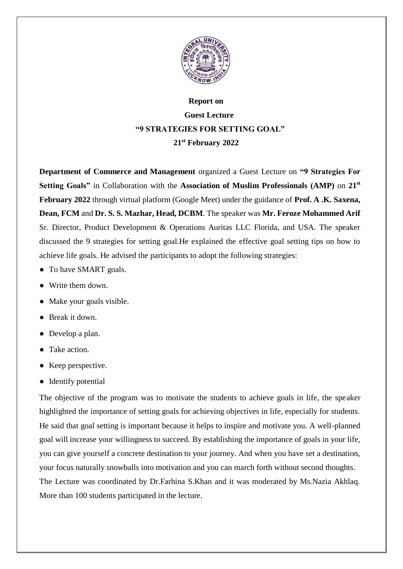

## **Report on Guest Lecture "9 STRATEGIES FOR SETTING GOAL" 21st February 2022**

**Department of Commerce and Management** organized a Guest Lecture on **"9 Strategies For Setting Goals"** in Collaboration with the **Association of Muslim Professionals (AMP)** on **21st February 2022** through virtual platform (Google Meet) under the guidance of **Prof. A .K. Saxena, Dean, FCM** and **Dr. S. S. Mazhar, Head, DCBM**. The speaker was **Mr. Feroze Mohammed Arif** Sr. Director, Product Development & Operations Auritas LLC Florida, and USA. The speaker discussed the 9 strategies for setting goal.He explained the effective goal setting tips on how to achieve life goals. He advised the participants to adopt the following strategies:

- To have SMART goals.
- Write them down.
- Make your goals visible.
- Break it down.
- Develop a plan.
- Take action.
- Keep perspective.
- Identify potential

The objective of the program was to motivate the students to achieve goals in life, the speaker highlighted the importance of setting goals for achieving objectives in life, especially for students. He said that goal setting is important because it helps to inspire and motivate you. A well-planned goal will increase your willingness to succeed. By establishing the importance of goals in your life, you can give yourself a concrete destination to your journey. And when you have set a destination, your focus naturally snowballs into motivation and you can march forth without second thoughts. The Lecture was coordinated by Dr.Farhina S.Khan and it was moderated by Ms.Nazia Akhlaq. More than 100 students participated in the lecture.